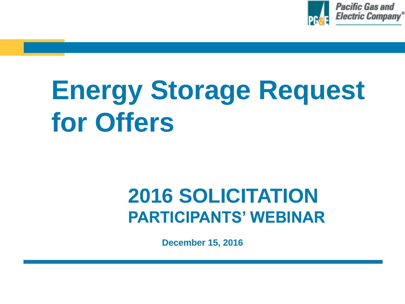

# **Energy Storage Request for Offers**

### **2016 SOLICITATION PARTICIPANTS' WEBINAR**

**December 15, 2016**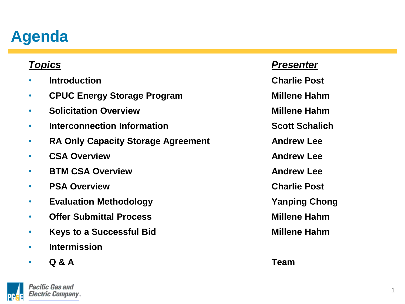#### **Agenda**

- **Introduction Charlie Post**
- **CPUC Energy Storage Program Millene Hahm**
- **Solicitation Overview Millene Hahm**
- **Interconnection Information Scott Schalich**
- **RA Only Capacity Storage Agreement Andrew Lee**
- **CSA Overview <b>Andrew Lee**
- **BTM CSA Overview <b>Andrew Lee**
- **PSA Overview Charlie Post**
- **Evaluation Methodology Yanping Chong**
- **Offer Submittal Process Millene Hahm**
- **Keys to a Successful Bid Millene Hahm**
- **Intermission**
- **Q & A Team**



#### *Topics Presenter*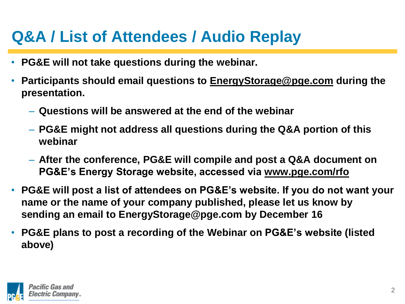#### **Q&A / List of Attendees / Audio Replay**

- **PG&E will not take questions during the webinar.**
- **Participants should email questions to EnergyStorage@pge.com during the presentation.**
	- **Questions will be answered at the end of the webinar**
	- **PG&E might not address all questions during the Q&A portion of this webinar**
	- **After the conference, PG&E will compile and post a Q&A document on PG&E's Energy Storage website, accessed via www.pge.com/rfo**
- **PG&E will post a list of attendees on PG&E's website. If you do not want your name or the name of your company published, please let us know by sending an email to EnergyStorage@pge.com by December 16**
- **PG&E plans to post a recording of the Webinar on PG&E's website (listed above)**

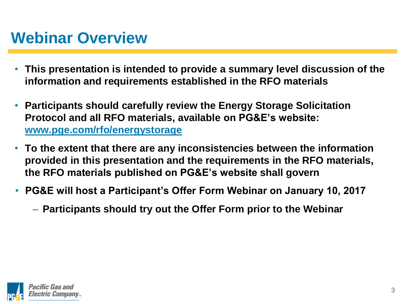#### **Webinar Overview**

- **This presentation is intended to provide a summary level discussion of the information and requirements established in the RFO materials**
- **Participants should carefully review the Energy Storage Solicitation Protocol and all RFO materials, available on PG&E's website: www.pge.com/rfo/energystorage**
- **To the extent that there are any inconsistencies between the information provided in this presentation and the requirements in the RFO materials, the RFO materials published on PG&E's website shall govern**
- **PG&E will host a Participant's Offer Form Webinar on January 10, 2017**
	- **Participants should try out the Offer Form prior to the Webinar**

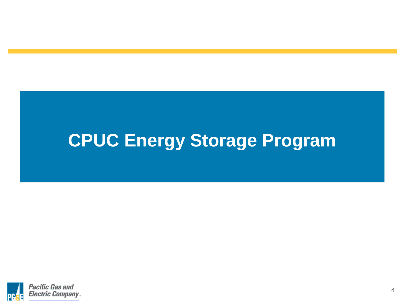## **CPUC Energy Storage Program**

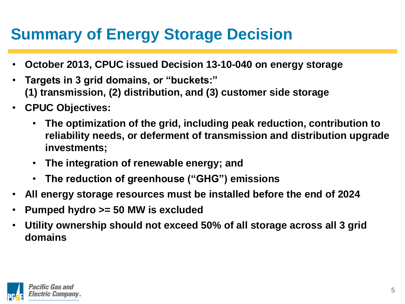#### **Summary of Energy Storage Decision**

- **October 2013, CPUC issued Decision 13-10-040 on energy storage**
- **Targets in 3 grid domains, or "buckets:" (1) transmission, (2) distribution, and (3) customer side storage**
- **CPUC Objectives:**
	- **The optimization of the grid, including peak reduction, contribution to reliability needs, or deferment of transmission and distribution upgrade investments;**
	- **The integration of renewable energy; and**
	- **The reduction of greenhouse ("GHG") emissions**
- **All energy storage resources must be installed before the end of 2024**
- **Pumped hydro >= 50 MW is excluded**
- **Utility ownership should not exceed 50% of all storage across all 3 grid domains**

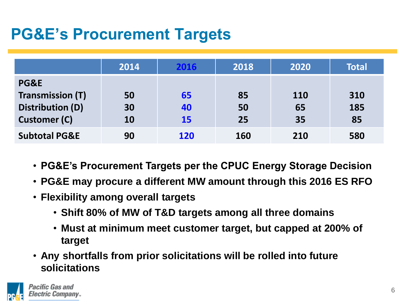#### **PG&E's Procurement Targets**

|                          | 2014 | 2016       | 2018       | 2020       | <b>Total</b> |
|--------------------------|------|------------|------------|------------|--------------|
| PG&E                     |      |            |            |            |              |
| <b>Transmission (T)</b>  | 50   | 65         | 85         | <b>110</b> | 310          |
| <b>Distribution (D)</b>  | 30   | 40         | 50         | 65         | 185          |
| <b>Customer (C)</b>      | 10   | <b>15</b>  | 25         | 35         | 85           |
| <b>Subtotal PG&amp;E</b> | 90   | <b>120</b> | <b>160</b> | 210        | 580          |

- **PG&E's Procurement Targets per the CPUC Energy Storage Decision**
- **PG&E may procure a different MW amount through this 2016 ES RFO**
- **Flexibility among overall targets**
	- **Shift 80% of MW of T&D targets among all three domains**
	- **Must at minimum meet customer target, but capped at 200% of target**
- **Any shortfalls from prior solicitations will be rolled into future solicitations**

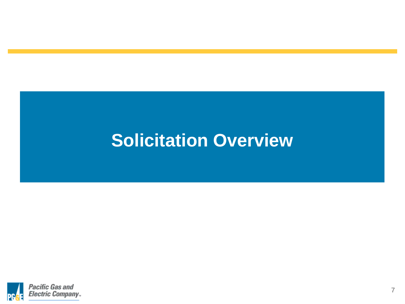### **Solicitation Overview**

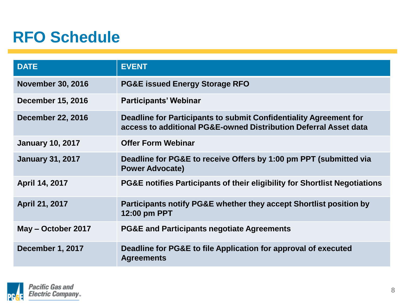#### **RFO Schedule**

| <b>DATE</b>              | <b>EVENT</b>                                                                                                                          |
|--------------------------|---------------------------------------------------------------------------------------------------------------------------------------|
| <b>November 30, 2016</b> | <b>PG&amp;E issued Energy Storage RFO</b>                                                                                             |
| <b>December 15, 2016</b> | <b>Participants' Webinar</b>                                                                                                          |
| <b>December 22, 2016</b> | Deadline for Participants to submit Confidentiality Agreement for<br>access to additional PG&E-owned Distribution Deferral Asset data |
| <b>January 10, 2017</b>  | <b>Offer Form Webinar</b>                                                                                                             |
| <b>January 31, 2017</b>  | Deadline for PG&E to receive Offers by 1:00 pm PPT (submitted via<br><b>Power Advocate)</b>                                           |
| April 14, 2017           | PG&E notifies Participants of their eligibility for Shortlist Negotiations                                                            |
| April 21, 2017           | Participants notify PG&E whether they accept Shortlist position by<br>12:00 pm PPT                                                    |
| May - October 2017       | <b>PG&amp;E and Participants negotiate Agreements</b>                                                                                 |
| December 1, 2017         | Deadline for PG&E to file Application for approval of executed<br><b>Agreements</b>                                                   |

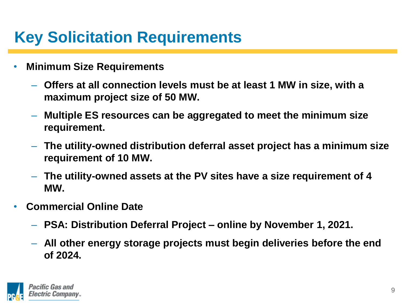#### **Key Solicitation Requirements**

- **Minimum Size Requirements**
	- **Offers at all connection levels must be at least 1 MW in size, with a maximum project size of 50 MW.**
	- **Multiple ES resources can be aggregated to meet the minimum size requirement.**
	- **The utility-owned distribution deferral asset project has a minimum size requirement of 10 MW.**
	- **The utility-owned assets at the PV sites have a size requirement of 4 MW.**
- **Commercial Online Date**
	- **PSA: Distribution Deferral Project – online by November 1, 2021.**
	- **All other energy storage projects must begin deliveries before the end of 2024.**

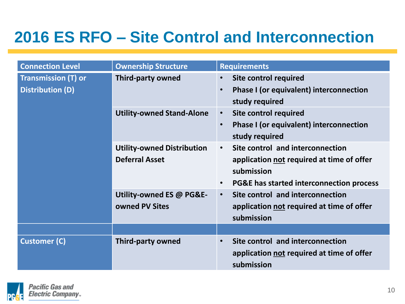#### **2016 ES RFO – Site Control and Interconnection**

| <b>Connection Level</b>                               | <b>Ownership Structure</b>                                 | <b>Requirements</b>                                                                                                                                               |
|-------------------------------------------------------|------------------------------------------------------------|-------------------------------------------------------------------------------------------------------------------------------------------------------------------|
| <b>Transmission (T) or</b><br><b>Distribution (D)</b> | <b>Third-party owned</b>                                   | <b>Site control required</b><br>$\bullet$<br>Phase I (or equivalent) interconnection<br>$\bullet$<br>study required                                               |
|                                                       | <b>Utility-owned Stand-Alone</b>                           | <b>Site control required</b><br>$\bullet$<br>Phase I (or equivalent) interconnection<br>$\bullet$<br>study required                                               |
|                                                       | <b>Utility-owned Distribution</b><br><b>Deferral Asset</b> | Site control and interconnection<br>$\bullet$<br>application not required at time of offer<br>submission<br>PG&E has started interconnection process<br>$\bullet$ |
|                                                       | Utility-owned ES @ PG&E-<br>owned PV Sites                 | Site control and interconnection<br>$\bullet$<br>application not required at time of offer<br>submission                                                          |
|                                                       |                                                            |                                                                                                                                                                   |
| <b>Customer (C)</b>                                   | <b>Third-party owned</b>                                   | Site control and interconnection<br>$\bullet$<br>application not required at time of offer<br>submission                                                          |

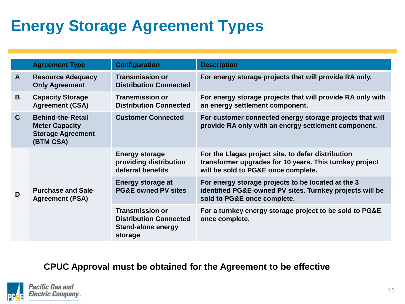#### **Energy Storage Agreement Types**

|              | <b>Agreement Type</b>                                                                      | <b>Configuration</b>                                                                            | <b>Description</b>                                                                                                                                   |
|--------------|--------------------------------------------------------------------------------------------|-------------------------------------------------------------------------------------------------|------------------------------------------------------------------------------------------------------------------------------------------------------|
| $\mathsf{A}$ | <b>Resource Adequacy</b><br><b>Only Agreement</b>                                          | <b>Transmission or</b><br><b>Distribution Connected</b>                                         | For energy storage projects that will provide RA only.                                                                                               |
| B            | <b>Capacity Storage</b><br><b>Agreement (CSA)</b>                                          | <b>Transmission or</b><br><b>Distribution Connected</b>                                         | For energy storage projects that will provide RA only with<br>an energy settlement component.                                                        |
| $\mathbf C$  | <b>Behind-the-Retail</b><br><b>Meter Capacity</b><br><b>Storage Agreement</b><br>(BTM CSA) | <b>Customer Connected</b>                                                                       | For customer connected energy storage projects that will<br>provide RA only with an energy settlement component.                                     |
| D            |                                                                                            | <b>Energy storage</b><br>providing distribution<br>deferral benefits                            | For the Llagas project site, to defer distribution<br>transformer upgrades for 10 years. This turnkey project<br>will be sold to PG&E once complete. |
|              | <b>Purchase and Sale</b><br><b>Agreement (PSA)</b>                                         | <b>Energy storage at</b><br><b>PG&amp;E owned PV sites</b>                                      | For energy storage projects to be located at the 3<br>identified PG&E-owned PV sites. Turnkey projects will be<br>sold to PG&E once complete.        |
|              |                                                                                            | <b>Transmission or</b><br><b>Distribution Connected</b><br><b>Stand-alone energy</b><br>storage | For a turnkey energy storage project to be sold to PG&E<br>once complete.                                                                            |

#### **CPUC Approval must be obtained for the Agreement to be effective**



11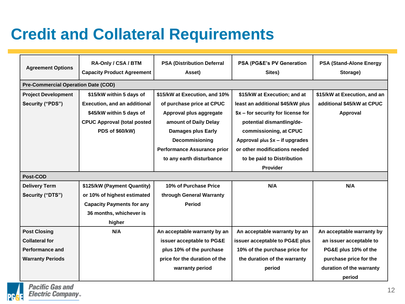#### **Credit and Collateral Requirements**

| <b>Agreement Options</b>                   | RA-Only / CSA / BTM<br><b>Capacity Product Agreement</b> | <b>PSA (Distribution Deferral</b><br>Asset)            | PSA (PG&E's PV Generation<br>Sites) | <b>PSA (Stand-Alone Energy</b><br>Storage) |
|--------------------------------------------|----------------------------------------------------------|--------------------------------------------------------|-------------------------------------|--------------------------------------------|
| <b>Pre-Commercial Operation Date (COD)</b> |                                                          |                                                        |                                     |                                            |
| <b>Project Development</b>                 | \$15/kW within 5 days of                                 | \$15/kW at Execution, and 10%                          | \$15/kW at Execution; and at        | \$15/kW at Execution, and an               |
| Security ("PDS")                           | <b>Execution, and an additional</b>                      | of purchase price at CPUC                              | least an additional \$45/kW plus    | additional \$45/kW at CPUC                 |
|                                            | \$45/kW within 5 days of                                 | Approval plus aggregate                                | \$x - for security for license for  | Approval                                   |
|                                            | <b>CPUC Approval (total posted</b>                       | amount of Daily Delay                                  | potential dismantling/de-           |                                            |
|                                            | PDS of \$60/kW)                                          | <b>Damages plus Early</b>                              | commissioning, at CPUC              |                                            |
|                                            |                                                          | Decommisioning                                         | Approval plus $$x$ – if upgrades    |                                            |
|                                            |                                                          | <b>Performance Assurance prior</b>                     | or other modifications needed       |                                            |
|                                            |                                                          | to any earth disturbance<br>to be paid to Distribution |                                     |                                            |
|                                            |                                                          |                                                        | Provider                            |                                            |
| Post-COD                                   |                                                          |                                                        |                                     |                                            |
| <b>Delivery Term</b>                       | \$125/kW (Payment Quantity)                              | 10% of Purchase Price                                  | N/A                                 | N/A                                        |
| Security ("DTS")                           | or 10% of highest estimated                              | through General Warranty                               |                                     |                                            |
| <b>Capacity Payments for any</b>           |                                                          | <b>Period</b>                                          |                                     |                                            |
| 36 months, whichever is                    |                                                          |                                                        |                                     |                                            |
|                                            | higher                                                   |                                                        |                                     |                                            |
| <b>Post Closing</b>                        | N/A                                                      | An acceptable warranty by an                           | An acceptable warranty by an        | An acceptable warranty by                  |
| <b>Collateral for</b>                      |                                                          | issuer acceptable to PG&E                              | issuer acceptable to PG&E plus      | an issuer acceptable to                    |
| Performance and                            |                                                          | plus 10% of the purchase                               | 10% of the purchase price for       | PG&E plus 10% of the                       |
| <b>Warranty Periods</b>                    |                                                          | price for the duration of the                          | the duration of the warranty        | purchase price for the                     |
|                                            |                                                          | warranty period                                        | period                              | duration of the warranty                   |
|                                            |                                                          |                                                        |                                     | period                                     |

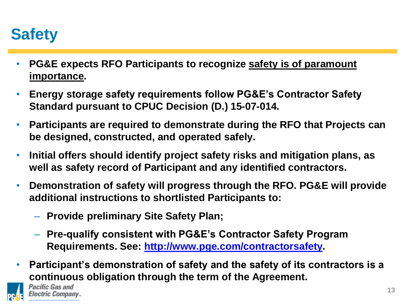#### **Safety**

- **PG&E expects RFO Participants to recognize safety is of paramount importance.**
- **Energy storage safety requirements follow PG&E's Contractor Safety Standard pursuant to CPUC Decision (D.) 15-07-014.**
- **Participants are required to demonstrate during the RFO that Projects can be designed, constructed, and operated safely.**
- **Initial offers should identify project safety risks and mitigation plans, as well as safety record of Participant and any identified contractors.**
- **Demonstration of safety will progress through the RFO. PG&E will provide additional instructions to shortlisted Participants to:**
	- **Provide preliminary Site Safety Plan;**
	- **Pre-qualify consistent with PG&E's Contractor Safety Program Requirements. See: http://www.pge.com/contractorsafety.**
- **Participant's demonstration of safety and the safety of its contractors is a continuous obligation through the term of the Agreement.**



Pacific Gas and *Electric Company...*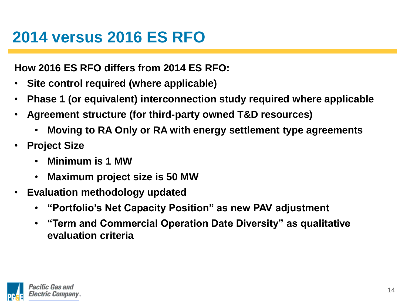#### **2014 versus 2016 ES RFO**

**How 2016 ES RFO differs from 2014 ES RFO:**

- **Site control required (where applicable)**
- **Phase 1 (or equivalent) interconnection study required where applicable**
- **Agreement structure (for third-party owned T&D resources)**
	- **Moving to RA Only or RA with energy settlement type agreements**
- **Project Size**
	- **Minimum is 1 MW**
	- **Maximum project size is 50 MW**
- **Evaluation methodology updated**
	- **"Portfolio's Net Capacity Position" as new PAV adjustment**
	- **"Term and Commercial Operation Date Diversity" as qualitative evaluation criteria**

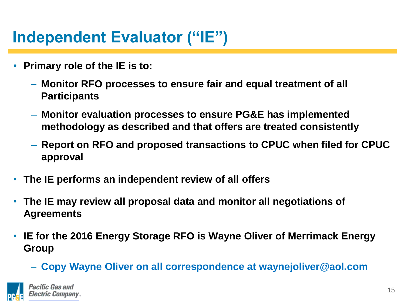#### **Independent Evaluator ("IE")**

- **Primary role of the IE is to:**
	- **Monitor RFO processes to ensure fair and equal treatment of all Participants**
	- **Monitor evaluation processes to ensure PG&E has implemented methodology as described and that offers are treated consistently**
	- **Report on RFO and proposed transactions to CPUC when filed for CPUC approval**
- **The IE performs an independent review of all offers**
- **The IE may review all proposal data and monitor all negotiations of Agreements**
- **IE for the 2016 Energy Storage RFO is Wayne Oliver of Merrimack Energy Group**
	- **Copy Wayne Oliver on all correspondence at waynejoliver@aol.com**

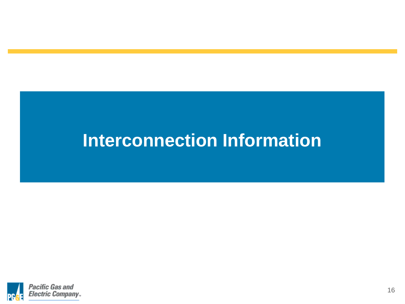#### **Interconnection Information**

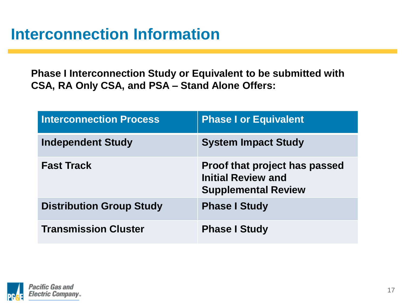#### **Interconnection Information**

**Phase I Interconnection Study or Equivalent to be submitted with CSA, RA Only CSA, and PSA – Stand Alone Offers:**

| <b>Interconnection Process</b>  | <b>Phase I or Equivalent</b>                                                                    |
|---------------------------------|-------------------------------------------------------------------------------------------------|
| <b>Independent Study</b>        | <b>System Impact Study</b>                                                                      |
| <b>Fast Track</b>               | <b>Proof that project has passed</b><br><b>Initial Review and</b><br><b>Supplemental Review</b> |
| <b>Distribution Group Study</b> | <b>Phase I Study</b>                                                                            |
| <b>Transmission Cluster</b>     | <b>Phase I Study</b>                                                                            |

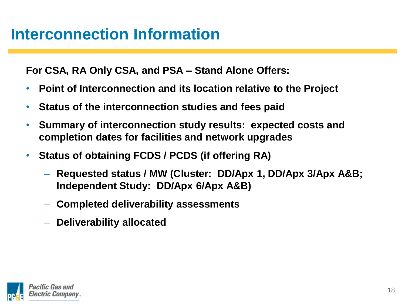**For CSA, RA Only CSA, and PSA – Stand Alone Offers:**

- **Point of Interconnection and its location relative to the Project**
- **Status of the interconnection studies and fees paid**
- **Summary of interconnection study results: expected costs and completion dates for facilities and network upgrades**
- **Status of obtaining FCDS / PCDS (if offering RA)**
	- **Requested status / MW (Cluster: DD/Apx 1, DD/Apx 3/Apx A&B; Independent Study: DD/Apx 6/Apx A&B)**
	- **Completed deliverability assessments**
	- **Deliverability allocated**

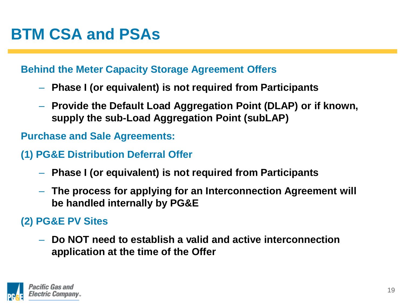#### **BTM CSA and PSAs**

#### **Behind the Meter Capacity Storage Agreement Offers**

- **Phase I (or equivalent) is not required from Participants**
- **Provide the Default Load Aggregation Point (DLAP) or if known, supply the sub-Load Aggregation Point (subLAP)**

**Purchase and Sale Agreements:**

- **(1) PG&E Distribution Deferral Offer**
	- **Phase I (or equivalent) is not required from Participants**
	- **The process for applying for an Interconnection Agreement will be handled internally by PG&E**

#### **(2) PG&E PV Sites**

– **Do NOT need to establish a valid and active interconnection application at the time of the Offer**

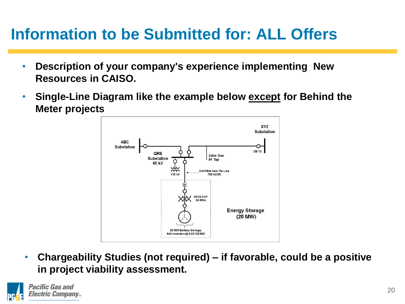#### **Information to be Submitted for: ALL Offers**

- **Description of your company's experience implementing New Resources in CAISO.**
- **Single-Line Diagram like the example below except for Behind the Meter projects**



• **Chargeability Studies (not required) – if favorable, could be a positive in project viability assessment.**

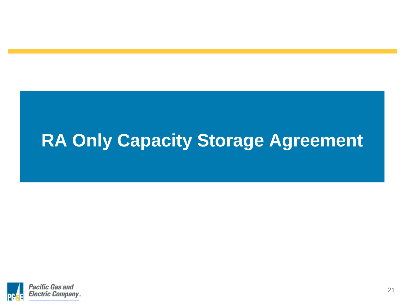#### **RA Only Capacity Storage Agreement**

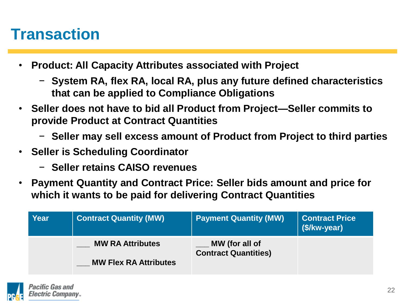#### **Transaction**

- **Product: All Capacity Attributes associated with Project**
	- − **System RA, flex RA, local RA, plus any future defined characteristics that can be applied to Compliance Obligations**
- **Seller does not have to bid all Product from Project—Seller commits to provide Product at Contract Quantities**
	- − **Seller may sell excess amount of Product from Project to third parties**
- **Seller is Scheduling Coordinator**
	- − **Seller retains CAISO revenues**
- **Payment Quantity and Contract Price: Seller bids amount and price for which it wants to be paid for delivering Contract Quantities**

| <b>Year</b> | <b>Contract Quantity (MW)</b> | <b>Payment Quantity (MW)</b>                  | <b>Contract Price</b><br>(\$/kw-year) |
|-------------|-------------------------------|-----------------------------------------------|---------------------------------------|
|             | <b>MW RA Attributes</b>       | MW (for all of<br><b>Contract Quantities)</b> |                                       |
|             | <b>MW Flex RA Attributes</b>  |                                               |                                       |

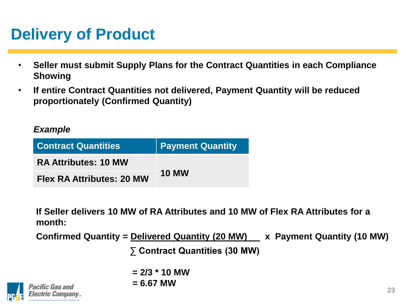#### **Delivery of Product**

- **Seller must submit Supply Plans for the Contract Quantities in each Compliance Showing**
- **If entire Contract Quantities not delivered, Payment Quantity will be reduced proportionately (Confirmed Quantity)**

#### *Example*

| <b>Contract Quantities</b>       | <b>Payment Quantity</b> |  |
|----------------------------------|-------------------------|--|
| <b>RA Attributes: 10 MW</b>      | <b>10 MW</b>            |  |
| <b>Flex RA Attributes: 20 MW</b> |                         |  |

**If Seller delivers 10 MW of RA Attributes and 10 MW of Flex RA Attributes for a month:**

**Confirmed Quantity = Delivered Quantity (20 MW) x Payment Quantity (10 MW)**

**∑ Contract Quantities (30 MW)**

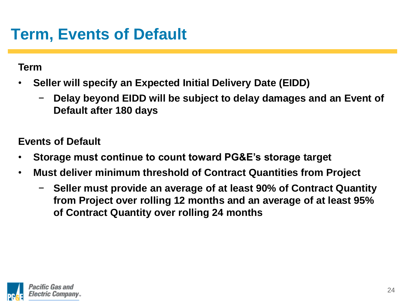#### **Term, Events of Default**

**Term**

- **Seller will specify an Expected Initial Delivery Date (EIDD)**
	- − **Delay beyond EIDD will be subject to delay damages and an Event of Default after 180 days**

**Events of Default**

- **Storage must continue to count toward PG&E's storage target**
- **Must deliver minimum threshold of Contract Quantities from Project** 
	- − **Seller must provide an average of at least 90% of Contract Quantity from Project over rolling 12 months and an average of at least 95% of Contract Quantity over rolling 24 months**

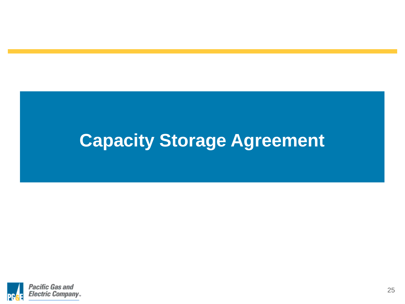#### **Capacity Storage Agreement**

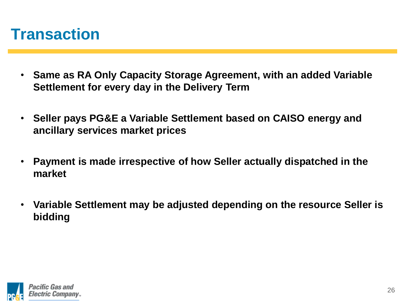#### **Transaction**

- **Same as RA Only Capacity Storage Agreement, with an added Variable Settlement for every day in the Delivery Term**
- **Seller pays PG&E a Variable Settlement based on CAISO energy and ancillary services market prices**
- **Payment is made irrespective of how Seller actually dispatched in the market**
- **Variable Settlement may be adjusted depending on the resource Seller is bidding**

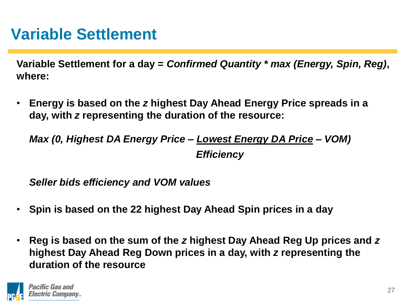#### **Variable Settlement**

**Variable Settlement for a day =** *Confirmed Quantity \* max (Energy, Spin, Reg)***, where:**

• **Energy is based on the** *z* **highest Day Ahead Energy Price spreads in a day, with** *z* **representing the duration of the resource:**

*Max (0, Highest DA Energy Price – Lowest Energy DA Price – VOM) Efficiency*

*Seller bids efficiency and VOM values*

- **Spin is based on the 22 highest Day Ahead Spin prices in a day**
- **Reg is based on the sum of the** *z* **highest Day Ahead Reg Up prices and** *z* **highest Day Ahead Reg Down prices in a day, with** *z* **representing the duration of the resource**

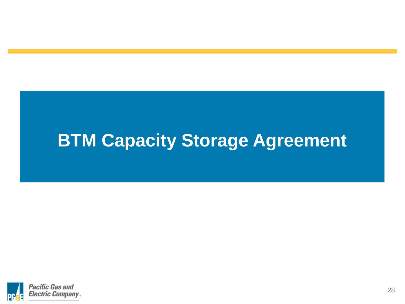### **BTM Capacity Storage Agreement**

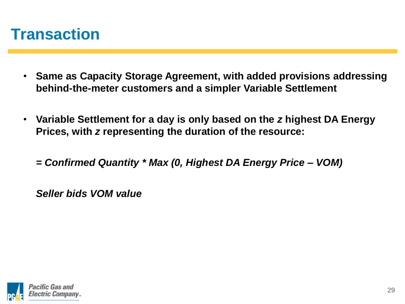#### **Transaction**

- **Same as Capacity Storage Agreement, with added provisions addressing behind-the-meter customers and a simpler Variable Settlement**
- **Variable Settlement for a day is only based on the** *z* **highest DA Energy Prices, with** *z* **representing the duration of the resource:**
	- *= Confirmed Quantity \* Max (0, Highest DA Energy Price – VOM)*

*Seller bids VOM value*

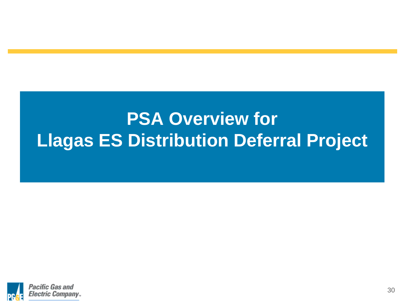## **PSA Overview for Llagas ES Distribution Deferral Project**

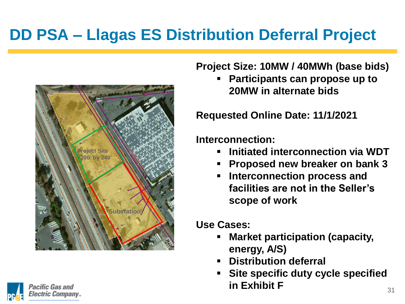#### **DD PSA – Llagas ES Distribution Deferral Project**





**Project Size: 10MW / 40MWh (base bids)**

 **Participants can propose up to 20MW in alternate bids**

**Requested Online Date: 11/1/2021**

**Interconnection:**

- **Initiated interconnection via WDT**
- **Proposed new breaker on bank 3**
- **Interconnection process and facilities are not in the Seller's scope of work**

**Use Cases:** 

- **Market participation (capacity, energy, A/S)**
- **Distribution deferral**
- **Site specific duty cycle specified in Exhibit F**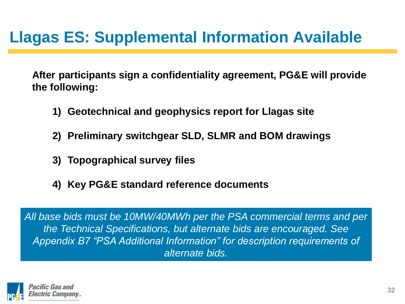#### **Llagas ES: Supplemental Information Available**

**After participants sign a confidentiality agreement, PG&E will provide the following:**

- **1) Geotechnical and geophysics report for Llagas site**
- **2) Preliminary switchgear SLD, SLMR and BOM drawings**
- **3) Topographical survey files**
- **4) Key PG&E standard reference documents**

*All base bids must be 10MW/40MWh per the PSA commercial terms and per the Technical Specifications, but alternate bids are encouraged. See Appendix B7 "PSA Additional Information" for description requirements of alternate bids.*

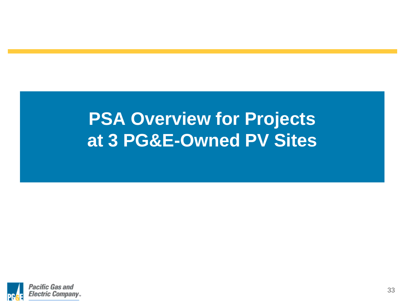#### **PSA Overview for Projects at 3 PG&E-Owned PV Sites**

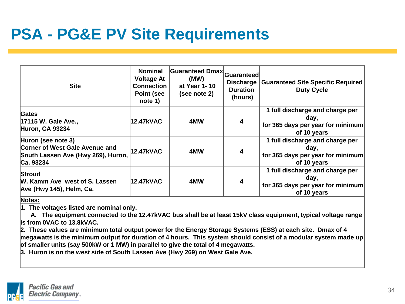#### **PSA - PG&E PV Site Requirements**

| <b>Site</b>                                                                                             | <b>Nominal</b><br><b>Voltage At</b><br><b>Connection</b><br>Point (see<br>note 1) | Guaranteed Dmax Guaranteed<br>(MW)<br>at Year 1-10<br>(see note 2) | Discharge<br><b>Duration</b><br>(hours) | <b>Guaranteed Site Specific Required</b><br><b>Duty Cycle</b>                               |
|---------------------------------------------------------------------------------------------------------|-----------------------------------------------------------------------------------|--------------------------------------------------------------------|-----------------------------------------|---------------------------------------------------------------------------------------------|
| Gates<br>17115 W. Gale Ave.,<br><b>Huron, CA 93234</b>                                                  | 12.47kVAC                                                                         | 4MW                                                                | 4                                       | 1 full discharge and charge per<br>day,<br>for 365 days per year for minimum<br>of 10 years |
| Huron (see note 3)<br>Corner of West Gale Avenue and<br>South Lassen Ave (Hwy 269), Huron,<br>Ca. 93234 | <b>12.47kVAC</b>                                                                  | 4MW                                                                | 4                                       | 1 full discharge and charge per<br>day.<br>for 365 days per year for minimum<br>of 10 years |
| Stroud<br>W. Kamm Ave west of S. Lassen<br>Ave (Hwy 145), Helm, Ca.                                     | 12.47kVAC                                                                         | 4MW                                                                | 4                                       | 1 full discharge and charge per<br>day,<br>for 365 days per year for minimum<br>of 10 years |

**Notes:**

**1. The voltages listed are nominal only.** 

 **A. The equipment connected to the 12.47kVAC bus shall be at least 15kV class equipment, typical voltage range is from 0VAC to 13.8kVAC.**

**2. These values are minimum total output power for the Energy Storage Systems (ESS) at each site. Dmax of 4 megawatts is the minimum output for duration of 4 hours. This system should consist of a modular system made up of smaller units (say 500kW or 1 MW) in parallel to give the total of 4 megawatts.** 

**3. Huron is on the west side of South Lassen Ave (Hwy 269) on West Gale Ave.**

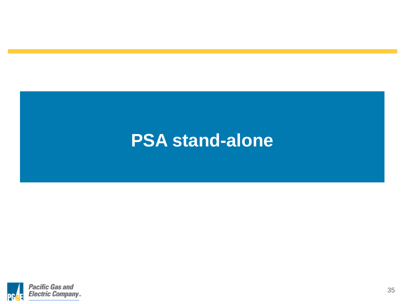#### **PSA stand-alone**

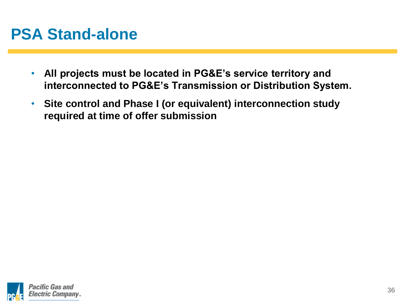#### **PSA Stand-alone**

- **All projects must be located in PG&E's service territory and interconnected to PG&E's Transmission or Distribution System.**
- **Site control and Phase I (or equivalent) interconnection study required at time of offer submission**

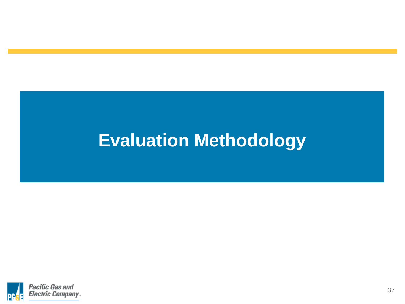### **Evaluation Methodology**

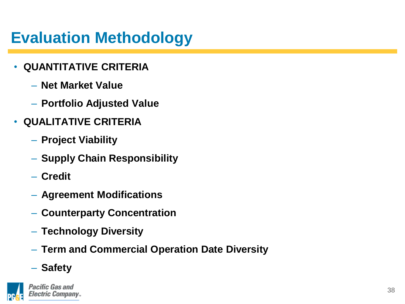#### **Evaluation Methodology**

- **QUANTITATIVE CRITERIA**
	- **Net Market Value**
	- **Portfolio Adjusted Value**
- **QUALITATIVE CRITERIA**
	- **Project Viability**
	- **Supply Chain Responsibility**
	- **Credit**
	- **Agreement Modifications**
	- **Counterparty Concentration**
	- **Technology Diversity**
	- **Term and Commercial Operation Date Diversity**
	- **Safety**

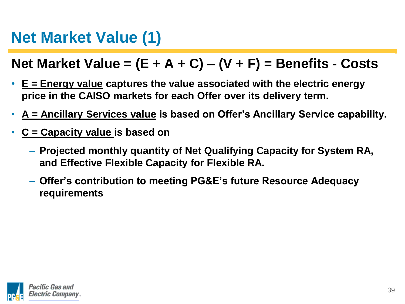#### **Net Market Value (1)**

#### **Net Market Value = (E + A + C) – (V + F) = Benefits - Costs**

- **E = Energy value captures the value associated with the electric energy price in the CAISO markets for each Offer over its delivery term.**
- **A = Ancillary Services value is based on Offer's Ancillary Service capability.**
- **C = Capacity value is based on** 
	- **Projected monthly quantity of Net Qualifying Capacity for System RA, and Effective Flexible Capacity for Flexible RA.**
	- **Offer's contribution to meeting PG&E's future Resource Adequacy requirements**

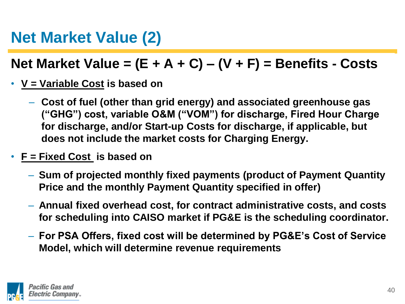#### **Net Market Value (2)**

#### **Net Market Value = (E + A + C) – (V + F) = Benefits - Costs**

- **V = Variable Cost is based on** 
	- **Cost of fuel (other than grid energy) and associated greenhouse gas ("GHG") cost, variable O&M ("VOM") for discharge, Fired Hour Charge for discharge, and/or Start-up Costs for discharge, if applicable, but does not include the market costs for Charging Energy.**
- **F = Fixed Cost is based on** 
	- **Sum of projected monthly fixed payments (product of Payment Quantity Price and the monthly Payment Quantity specified in offer)**
	- **Annual fixed overhead cost, for contract administrative costs, and costs for scheduling into CAISO market if PG&E is the scheduling coordinator.**
	- **For PSA Offers, fixed cost will be determined by PG&E's Cost of Service Model, which will determine revenue requirements**

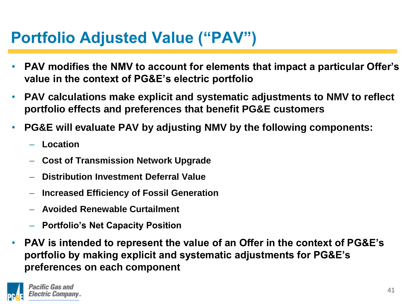#### **Portfolio Adjusted Value ("PAV")**

- **PAV modifies the NMV to account for elements that impact a particular Offer's value in the context of PG&E's electric portfolio**
- **PAV calculations make explicit and systematic adjustments to NMV to reflect portfolio effects and preferences that benefit PG&E customers**
- **PG&E will evaluate PAV by adjusting NMV by the following components:**
	- **Location**
	- **Cost of Transmission Network Upgrade**
	- **Distribution Investment Deferral Value**
	- **Increased Efficiency of Fossil Generation**
	- **Avoided Renewable Curtailment**
	- **Portfolio's Net Capacity Position**
- **PAV is intended to represent the value of an Offer in the context of PG&E's portfolio by making explicit and systematic adjustments for PG&E's preferences on each component**

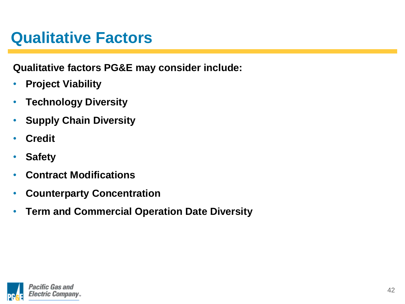#### **Qualitative Factors**

**Qualitative factors PG&E may consider include:**

- **Project Viability**
- **Technology Diversity**
- **Supply Chain Diversity**
- **Credit**
- **Safety**
- **Contract Modifications**
- **Counterparty Concentration**
- **Term and Commercial Operation Date Diversity**

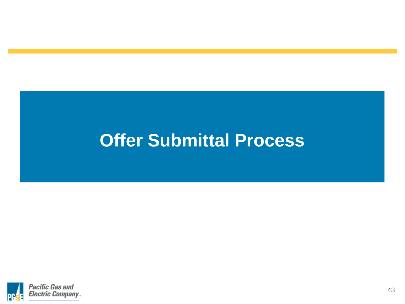#### **Offer Submittal Process**

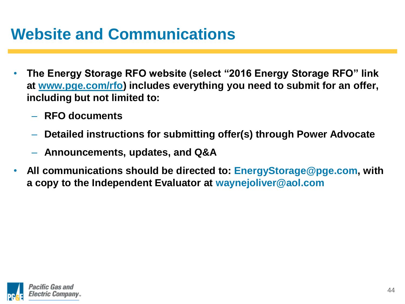#### **Website and Communications**

- **The Energy Storage RFO website (select "2016 Energy Storage RFO" link at www.pge.com/rfo) includes everything you need to submit for an offer, including but not limited to:**
	- **RFO documents**
	- **Detailed instructions for submitting offer(s) through Power Advocate**
	- **Announcements, updates, and Q&A**
- **All communications should be directed to: EnergyStorage@pge.com, with a copy to the Independent Evaluator at waynejoliver@aol.com**

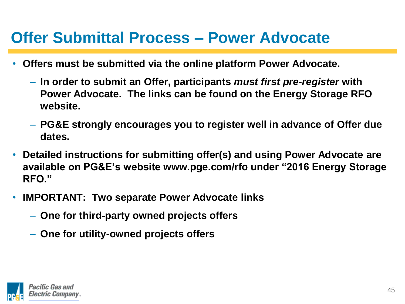#### **Offer Submittal Process – Power Advocate**

- **Offers must be submitted via the online platform Power Advocate.** 
	- **In order to submit an Offer, participants** *must first pre-register* **with Power Advocate. The links can be found on the Energy Storage RFO website.**
	- **PG&E strongly encourages you to register well in advance of Offer due dates.**
- **Detailed instructions for submitting offer(s) and using Power Advocate are available on PG&E's website www.pge.com/rfo under "2016 Energy Storage RFO."**
- **IMPORTANT: Two separate Power Advocate links**
	- **One for third-party owned projects offers**
	- **One for utility-owned projects offers**

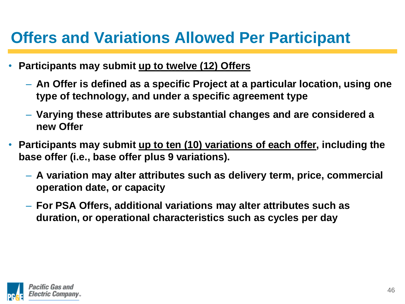#### **Offers and Variations Allowed Per Participant**

- **Participants may submit up to twelve (12) Offers**
	- **An Offer is defined as a specific Project at a particular location, using one type of technology, and under a specific agreement type**
	- **Varying these attributes are substantial changes and are considered a new Offer**
- **Participants may submit up to ten (10) variations of each offer, including the base offer (i.e., base offer plus 9 variations).**
	- **A variation may alter attributes such as delivery term, price, commercial operation date, or capacity**
	- **For PSA Offers, additional variations may alter attributes such as duration, or operational characteristics such as cycles per day**

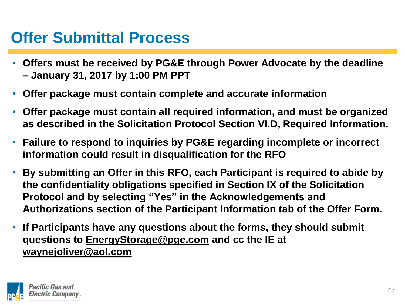#### **Offer Submittal Process**

- **Offers must be received by PG&E through Power Advocate by the deadline – January 31, 2017 by 1:00 PM PPT**
- **Offer package must contain complete and accurate information**
- **Offer package must contain all required information, and must be organized as described in the Solicitation Protocol Section VI.D, Required Information.**
- **Failure to respond to inquiries by PG&E regarding incomplete or incorrect information could result in disqualification for the RFO**
- **By submitting an Offer in this RFO, each Participant is required to abide by the confidentiality obligations specified in Section IX of the Solicitation Protocol and by selecting "Yes" in the Acknowledgements and Authorizations section of the Participant Information tab of the Offer Form.**
- **If Participants have any questions about the forms, they should submit questions to EnergyStorage@pge.com and cc the IE at waynejoliver@aol.com**

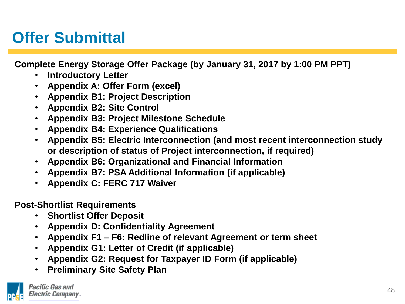#### **Offer Submittal**

**Complete Energy Storage Offer Package (by January 31, 2017 by 1:00 PM PPT)**

- **Introductory Letter**
- **Appendix A: Offer Form (excel)**
- **Appendix B1: Project Description**
- **Appendix B2: Site Control**
- **Appendix B3: Project Milestone Schedule**
- **Appendix B4: Experience Qualifications**
- **Appendix B5: Electric Interconnection (and most recent interconnection study or description of status of Project interconnection, if required)**
- **Appendix B6: Organizational and Financial Information**
- **Appendix B7: PSA Additional Information (if applicable)**
- **Appendix C: FERC 717 Waiver**

**Post-Shortlist Requirements**

- **Shortlist Offer Deposit**
- **Appendix D: Confidentiality Agreement**
- **Appendix F1 – F6: Redline of relevant Agreement or term sheet**
- **Appendix G1: Letter of Credit (if applicable)**
- **Appendix G2: Request for Taxpayer ID Form (if applicable)**
- **Preliminary Site Safety Plan**

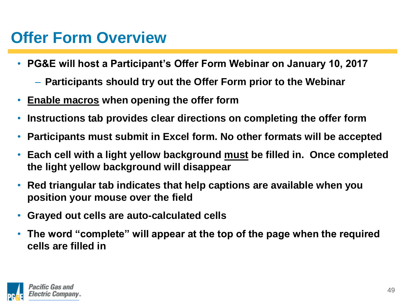#### **Offer Form Overview**

- **PG&E will host a Participant's Offer Form Webinar on January 10, 2017**
	- **Participants should try out the Offer Form prior to the Webinar**
- **Enable macros when opening the offer form**
- **Instructions tab provides clear directions on completing the offer form**
- **Participants must submit in Excel form. No other formats will be accepted**
- **Each cell with a light yellow background must be filled in. Once completed the light yellow background will disappear**
- **Red triangular tab indicates that help captions are available when you position your mouse over the field**
- **Grayed out cells are auto-calculated cells**
- **The word "complete" will appear at the top of the page when the required cells are filled in**

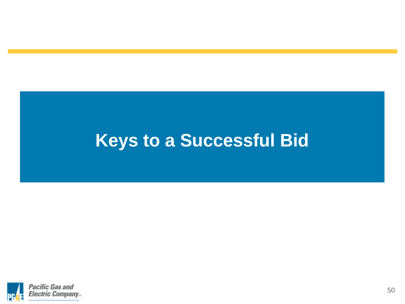## **Keys to a Successful Bid**

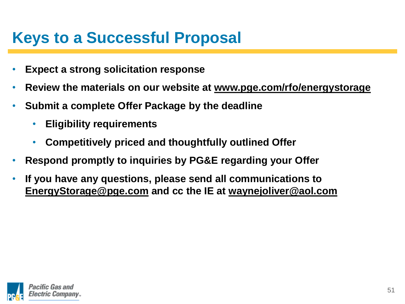#### **Keys to a Successful Proposal**

- **Expect a strong solicitation response**
- **Review the materials on our website at www.pge.com/rfo/energystorage**
- **Submit a complete Offer Package by the deadline**
	- **Eligibility requirements**
	- **Competitively priced and thoughtfully outlined Offer**
- **Respond promptly to inquiries by PG&E regarding your Offer**
- **If you have any questions, please send all communications to EnergyStorage@pge.com and cc the IE at waynejoliver@aol.com**

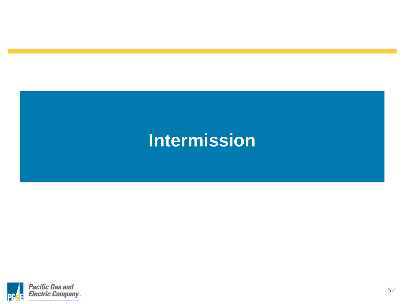### **Intermission**